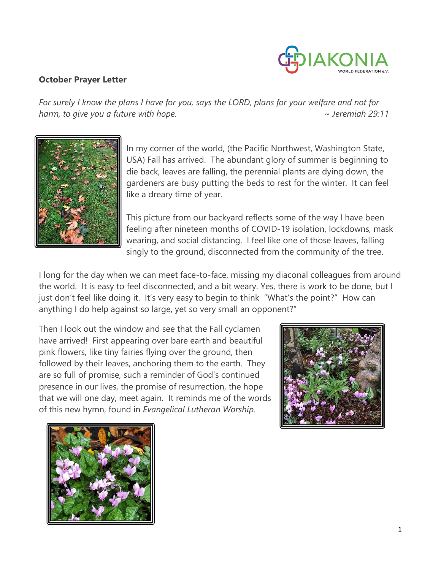

## **October Prayer Letter**

*For surely I know the plans I have for you, says the LORD, plans for your welfare and not for harm, to give you a future with hope. ~ Jeremiah 29:11*



In my corner of the world, (the Pacific Northwest, Washington State, USA) Fall has arrived. The abundant glory of summer is beginning to die back, leaves are falling, the perennial plants are dying down, the gardeners are busy putting the beds to rest for the winter. It can feel like a dreary time of year.

This picture from our backyard reflects some of the way I have been feeling after nineteen months of COVID-19 isolation, lockdowns, mask wearing, and social distancing. I feel like one of those leaves, falling singly to the ground, disconnected from the community of the tree.

I long for the day when we can meet face-to-face, missing my diaconal colleagues from around the world. It is easy to feel disconnected, and a bit weary. Yes, there is work to be done, but I just don't feel like doing it. It's very easy to begin to think "What's the point?" How can anything I do help against so large, yet so very small an opponent?"

Then I look out the window and see that the Fall cyclamen have arrived! First appearing over bare earth and beautiful pink flowers, like tiny fairies flying over the ground, then followed by their leaves, anchoring them to the earth. They are so full of promise, such a reminder of God's continued presence in our lives, the promise of resurrection, the hope that we will one day, meet again. It reminds me of the words of this new hymn, found in *Evangelical Lutheran Worship*.